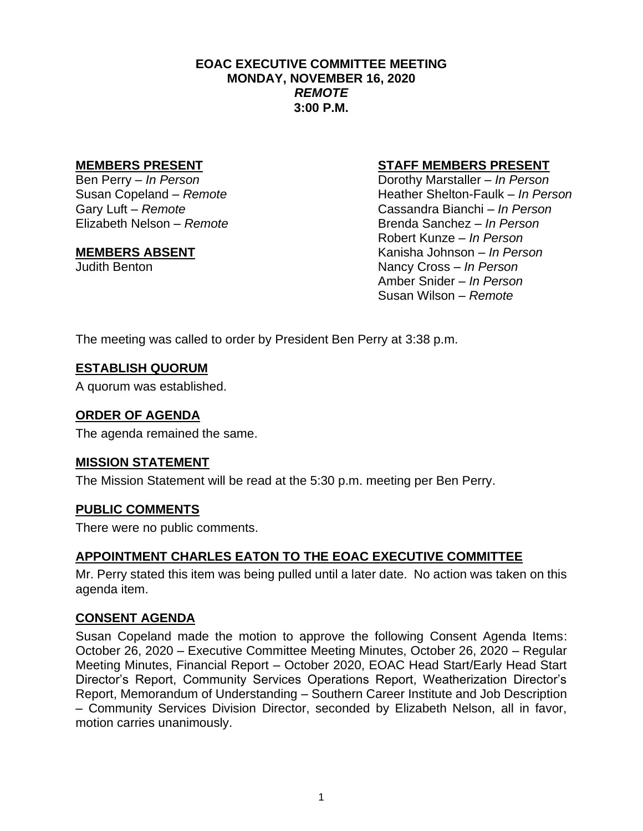#### **EOAC EXECUTIVE COMMITTEE MEETING MONDAY, NOVEMBER 16, 2020** *REMOTE* **3:00 P.M.**

#### **MEMBERS PRESENT STAFF MEMBERS PRESENT**

Ben Perry *– In Person* Dorothy Marstaller *– In Person* Susan Copeland *– Remote*<br>
Gary Luft – *Remote*<br>
Gassandra Bianchi – *In Person* Gary Luft *– Remote* Cassandra Bianchi *– In Person* Elizabeth Nelson *– Remote* Brenda Sanchez *– In Person* Robert Kunze *– In Person* **MEMBERS ABSENT** Kanisha Johnson *– In Person* Judith Benton Nancy Cross *– In Person* Amber Snider *– In Person* Susan Wilson *– Remote*

The meeting was called to order by President Ben Perry at 3:38 p.m.

#### **ESTABLISH QUORUM**

A quorum was established.

# **ORDER OF AGENDA**

The agenda remained the same.

## **MISSION STATEMENT**

The Mission Statement will be read at the 5:30 p.m. meeting per Ben Perry.

## **PUBLIC COMMENTS**

There were no public comments.

## **APPOINTMENT CHARLES EATON TO THE EOAC EXECUTIVE COMMITTEE**

Mr. Perry stated this item was being pulled until a later date. No action was taken on this agenda item.

## **CONSENT AGENDA**

Susan Copeland made the motion to approve the following Consent Agenda Items: October 26, 2020 – Executive Committee Meeting Minutes, October 26, 2020 – Regular Meeting Minutes, Financial Report – October 2020, EOAC Head Start/Early Head Start Director's Report, Community Services Operations Report, Weatherization Director's Report, Memorandum of Understanding – Southern Career Institute and Job Description – Community Services Division Director, seconded by Elizabeth Nelson, all in favor, motion carries unanimously.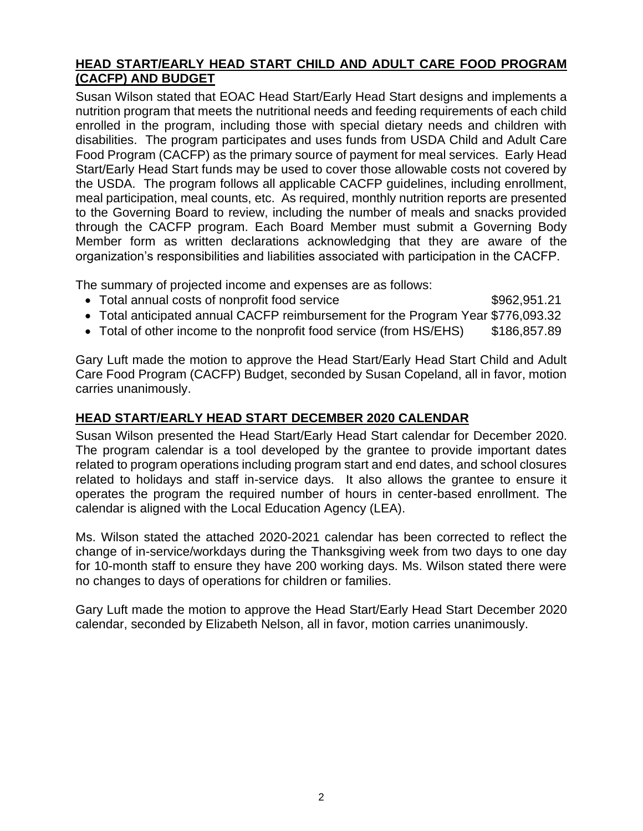### **HEAD START/EARLY HEAD START CHILD AND ADULT CARE FOOD PROGRAM (CACFP) AND BUDGET**

Susan Wilson stated that EOAC Head Start/Early Head Start designs and implements a nutrition program that meets the nutritional needs and feeding requirements of each child enrolled in the program, including those with special dietary needs and children with disabilities. The program participates and uses funds from USDA Child and Adult Care Food Program (CACFP) as the primary source of payment for meal services. Early Head Start/Early Head Start funds may be used to cover those allowable costs not covered by the USDA. The program follows all applicable CACFP guidelines, including enrollment, meal participation, meal counts, etc. As required, monthly nutrition reports are presented to the Governing Board to review, including the number of meals and snacks provided through the CACFP program. Each Board Member must submit a Governing Body Member form as written declarations acknowledging that they are aware of the organization's responsibilities and liabilities associated with participation in the CACFP.

The summary of projected income and expenses are as follows:

- Total annual costs of nonprofit food service  $$962,951.21$
- Total anticipated annual CACFP reimbursement for the Program Year \$776,093.32
- Total of other income to the nonprofit food service (from HS/EHS) \$186,857.89

Gary Luft made the motion to approve the Head Start/Early Head Start Child and Adult Care Food Program (CACFP) Budget, seconded by Susan Copeland, all in favor, motion carries unanimously.

## **HEAD START/EARLY HEAD START DECEMBER 2020 CALENDAR**

Susan Wilson presented the Head Start/Early Head Start calendar for December 2020. The program calendar is a tool developed by the grantee to provide important dates related to program operations including program start and end dates, and school closures related to holidays and staff in-service days. It also allows the grantee to ensure it operates the program the required number of hours in center-based enrollment. The calendar is aligned with the Local Education Agency (LEA).

Ms. Wilson stated the attached 2020-2021 calendar has been corrected to reflect the change of in-service/workdays during the Thanksgiving week from two days to one day for 10-month staff to ensure they have 200 working days. Ms. Wilson stated there were no changes to days of operations for children or families.

Gary Luft made the motion to approve the Head Start/Early Head Start December 2020 calendar, seconded by Elizabeth Nelson, all in favor, motion carries unanimously.